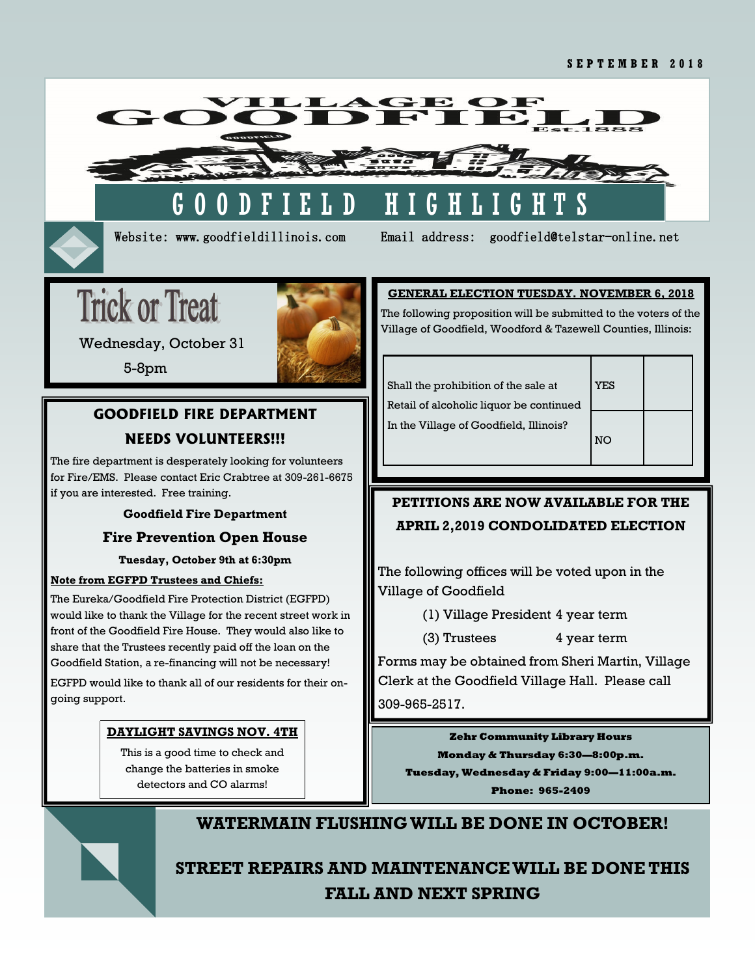

Website: www.goodfieldillinois.com Email address: goodfield@telstar-online.net

# **Trick or Treat**



Wednesday, October 31

5-8pm

# **GOODFIELD FIRE DEPARTMENT NEEDS VOLUNTEERS!!!**

The fire department is desperately looking for volunteers for Fire/EMS. Please contact Eric Crabtree at 309-261-6675 if you are interested. Free training.

# **Goodfield Fire Department**

# **Fire Prevention Open House**

**Tuesday, October 9th at 6:30pm**

# **Note from EGFPD Trustees and Chiefs:**

The Eureka/Goodfield Fire Protection District (EGFPD) would like to thank the Village for the recent street work in front of the Goodfield Fire House. They would also like to share that the Trustees recently paid off the loan on the Goodfield Station, a re-financing will not be necessary! EGFPD would like to thank all of our residents for their ongoing support.

# **DAYLIGHT SAVINGS NOV. 4TH**

This is a good time to check and change the batteries in smoke detectors and CO alarms!

# **GENERAL ELECTION TUESDAY. NOVEMBER 6, 2018**

The following proposition will be submitted to the voters of the Village of Goodfield, Woodford & Tazewell Counties, Illinois:

Shall the prohibition of the sale at **YES** Retail of alcoholic liquor be continued In the Village of Goodfield, Illinois?



# **PETITIONS ARE NOW AVAILABLE FOR THE APRIL 2,2019 CONDOLIDATED ELECTION**

The following offices will be voted upon in the Village of Goodfield

(1) Village President 4 year term

(3) Trustees 4 year term

Forms may be obtained from Sheri Martin, Village Clerk at the Goodfield Village Hall. Please call 309-965-2517.

**Zehr Community Library Hours Monday & Thursday 6:30—8:00p.m. Tuesday, Wednesday & Friday 9:00—11:00a.m. Phone: 965-2409**



# **WATERMAIN FLUSHING WILL BE DONE IN OCTOBER!**

# **STREET REPAIRS AND MAINTENANCE WILL BE DONE THIS FALL AND NEXT SPRING**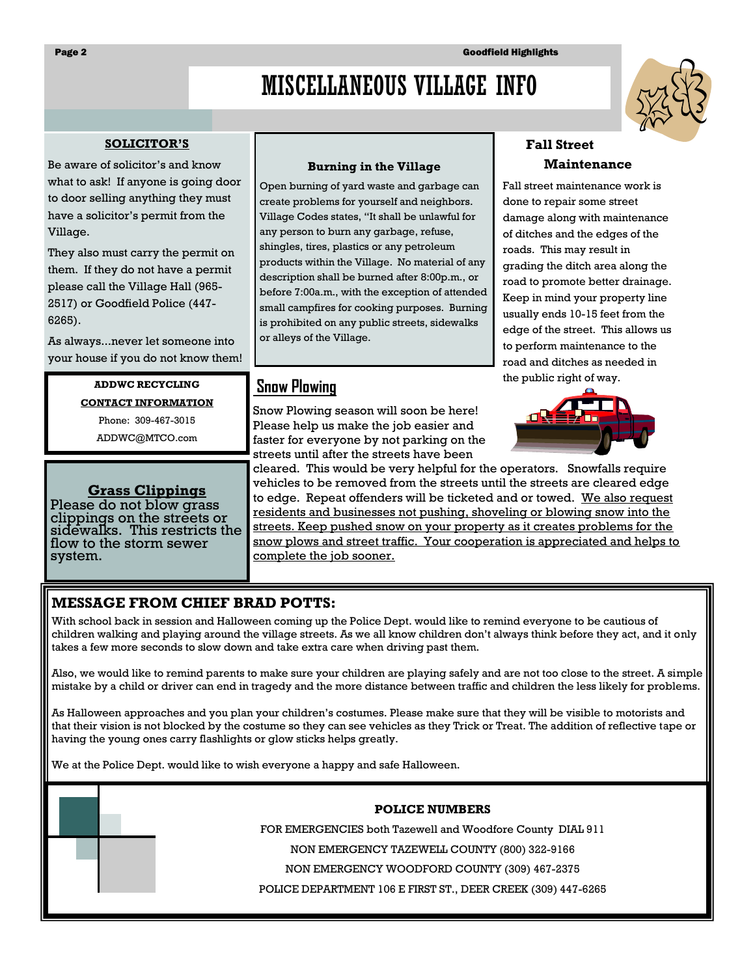# MISCELLANEOUS VILLAGE INFO

#### **SOLICITOR'S**

Be aware of solicitor's and know what to ask! If anyone is going door to door selling anything they must have a solicitor's permit from the Village.

They also must carry the permit on them. If they do not have a permit please call the Village Hall (965- 2517) or Goodfield Police (447- 6265).

As always...never let someone into your house if you do not know them!

> **ADDWC RECYCLING CONTACT INFORMATION**

> > Phone: 309-467-3015

ADDWC@MTCO.com

# **Grass Clippings**

Please do not blow grass clippings on the streets or sidewalks. This restricts the flow to the storm sewer system.

### **Burning in the Village**

Open burning of yard waste and garbage can create problems for yourself and neighbors. Village Codes states, "It shall be unlawful for any person to burn any garbage, refuse, shingles, tires, plastics or any petroleum products within the Village. No material of any description shall be burned after 8:00p.m., or before 7:00a.m., with the exception of attended small campfires for cooking purposes. Burning is prohibited on any public streets, sidewalks or alleys of the Village.

# **Snow Plowing**

Snow Plowing season will soon be here! Please help us make the job easier and faster for everyone by not parking on the streets until after the streets have been

# **Fall Street Maintenance**

Fall street maintenance work is done to repair some street damage along with maintenance of ditches and the edges of the roads. This may result in grading the ditch area along the road to promote better drainage. Keep in mind your property line usually ends 10-15 feet from the edge of the street. This allows us to perform maintenance to the road and ditches as needed in the public right of way.



cleared. This would be very helpful for the operators. Snowfalls require vehicles to be removed from the streets until the streets are cleared edge to edge. Repeat offenders will be ticketed and or towed. We also request residents and businesses not pushing, shoveling or blowing snow into the streets. Keep pushed snow on your property as it creates problems for the snow plows and street traffic. Your cooperation is appreciated and helps to complete the job sooner.

# **MESSAGE FROM CHIEF BRAD POTTS:**

With school back in session and Halloween coming up the Police Dept. would like to remind everyone to be cautious of children walking and playing around the village streets. As we all know children don't always think before they act, and it only takes a few more seconds to slow down and take extra care when driving past them.

Also, we would like to remind parents to make sure your children are playing safely and are not too close to the street. A simple mistake by a child or driver can end in tragedy and the more distance between traffic and children the less likely for problems.

As Halloween approaches and you plan your children's costumes. Please make sure that they will be visible to motorists and that their vision is not blocked by the costume so they can see vehicles as they Trick or Treat. The addition of reflective tape or having the young ones carry flashlights or glow sticks helps greatly.

We at the Police Dept. would like to wish everyone a happy and safe Halloween.

### **POLICE NUMBERS**

FOR EMERGENCIES both Tazewell and Woodfore County DIAL 911

NON EMERGENCY TAZEWELL COUNTY (800) 322-9166

NON EMERGENCY WOODFORD COUNTY (309) 467-2375

POLICE DEPARTMENT 106 E FIRST ST., DEER CREEK (309) 447-6265